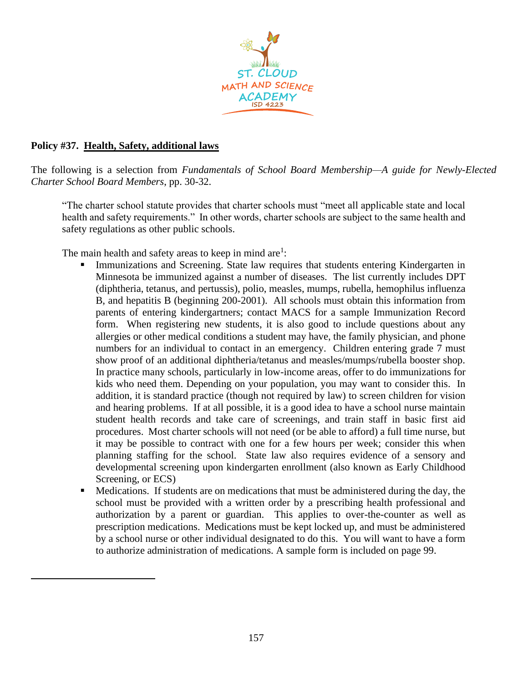

## **Policy #37. Health, Safety, additional laws**

The following is a selection from *Fundamentals of School Board Membership—A guide for Newly-Elected Charter School Board Members*, pp. 30-32.

"The charter school statute provides that charter schools must "meet all applicable state and local health and safety requirements." In other words, charter schools are subject to the same health and safety regulations as other public schools.

The main health and safety areas to keep in mind are<sup>1</sup>:

- Immunizations and Screening. State law requires that students entering Kindergarten in Minnesota be immunized against a number of diseases. The list currently includes DPT (diphtheria, tetanus, and pertussis), polio, measles, mumps, rubella, hemophilus influenza B, and hepatitis B (beginning 200-2001). All schools must obtain this information from parents of entering kindergartners; contact MACS for a sample Immunization Record form. When registering new students, it is also good to include questions about any allergies or other medical conditions a student may have, the family physician, and phone numbers for an individual to contact in an emergency. Children entering grade 7 must show proof of an additional diphtheria/tetanus and measles/mumps/rubella booster shop. In practice many schools, particularly in low-income areas, offer to do immunizations for kids who need them. Depending on your population, you may want to consider this. In addition, it is standard practice (though not required by law) to screen children for vision and hearing problems. If at all possible, it is a good idea to have a school nurse maintain student health records and take care of screenings, and train staff in basic first aid procedures. Most charter schools will not need (or be able to afford) a full time nurse, but it may be possible to contract with one for a few hours per week; consider this when planning staffing for the school. State law also requires evidence of a sensory and developmental screening upon kindergarten enrollment (also known as Early Childhood Screening, or ECS)
- Medications. If students are on medications that must be administered during the day, the school must be provided with a written order by a prescribing health professional and authorization by a parent or guardian. This applies to over-the-counter as well as prescription medications. Medications must be kept locked up, and must be administered by a school nurse or other individual designated to do this. You will want to have a form to authorize administration of medications. A sample form is included on page 99.